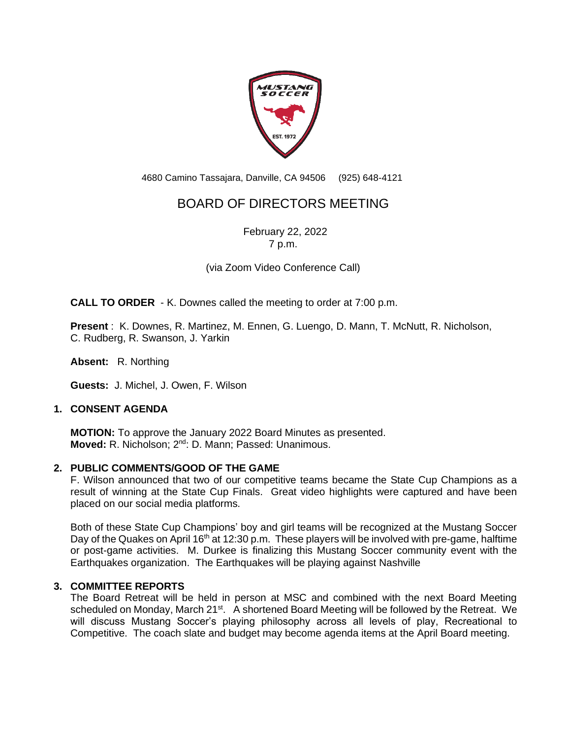

4680 Camino Tassajara, Danville, CA 94506 (925) 648-4121

# BOARD OF DIRECTORS MEETING

February 22, 2022 7 p.m.

(via Zoom Video Conference Call)

**CALL TO ORDER** - K. Downes called the meeting to order at 7:00 p.m.

**Present** : K. Downes, R. Martinez, M. Ennen, G. Luengo, D. Mann, T. McNutt, R. Nicholson, C. Rudberg, R. Swanson, J. Yarkin

**Absent:** R. Northing

**Guests:** J. Michel, J. Owen, F. Wilson

# **1. CONSENT AGENDA**

**MOTION:** To approve the January 2022 Board Minutes as presented. Moved: R. Nicholson; 2<sup>nd</sup>: D. Mann; Passed: Unanimous.

# **2. PUBLIC COMMENTS/GOOD OF THE GAME**

F. Wilson announced that two of our competitive teams became the State Cup Champions as a result of winning at the State Cup Finals. Great video highlights were captured and have been placed on our social media platforms.

Both of these State Cup Champions' boy and girl teams will be recognized at the Mustang Soccer Day of the Quakes on April 16<sup>th</sup> at 12:30 p.m. These players will be involved with pre-game, halftime or post-game activities. M. Durkee is finalizing this Mustang Soccer community event with the Earthquakes organization. The Earthquakes will be playing against Nashville

# **3. COMMITTEE REPORTS**

The Board Retreat will be held in person at MSC and combined with the next Board Meeting scheduled on Monday, March 21<sup>st</sup>. A shortened Board Meeting will be followed by the Retreat. We will discuss Mustang Soccer's playing philosophy across all levels of play, Recreational to Competitive. The coach slate and budget may become agenda items at the April Board meeting.